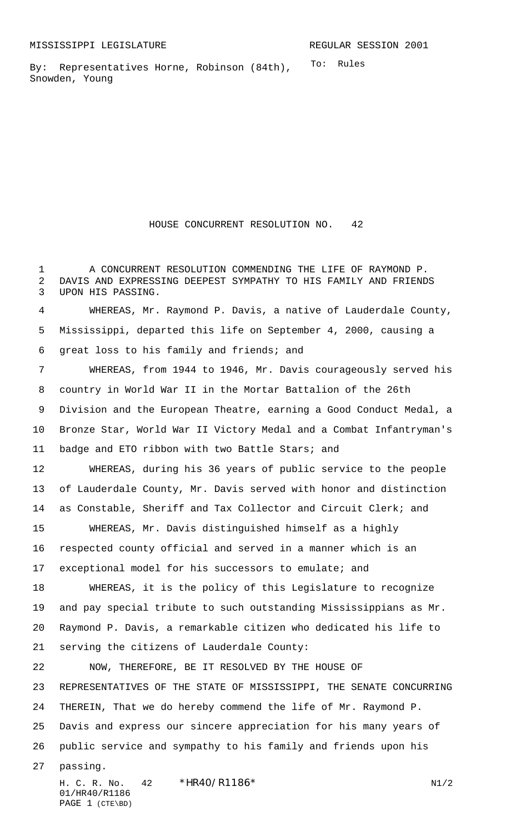To: Rules By: Representatives Horne, Robinson (84th), Snowden, Young

HOUSE CONCURRENT RESOLUTION NO. 42

 A CONCURRENT RESOLUTION COMMENDING THE LIFE OF RAYMOND P. DAVIS AND EXPRESSING DEEPEST SYMPATHY TO HIS FAMILY AND FRIENDS UPON HIS PASSING.

 WHEREAS, Mr. Raymond P. Davis, a native of Lauderdale County, Mississippi, departed this life on September 4, 2000, causing a great loss to his family and friends; and

 WHEREAS, from 1944 to 1946, Mr. Davis courageously served his country in World War II in the Mortar Battalion of the 26th Division and the European Theatre, earning a Good Conduct Medal, a Bronze Star, World War II Victory Medal and a Combat Infantryman's badge and ETO ribbon with two Battle Stars; and WHEREAS, during his 36 years of public service to the people of Lauderdale County, Mr. Davis served with honor and distinction as Constable, Sheriff and Tax Collector and Circuit Clerk; and WHEREAS, Mr. Davis distinguished himself as a highly respected county official and served in a manner which is an exceptional model for his successors to emulate; and WHEREAS, it is the policy of this Legislature to recognize and pay special tribute to such outstanding Mississippians as Mr. Raymond P. Davis, a remarkable citizen who dedicated his life to serving the citizens of Lauderdale County: NOW, THEREFORE, BE IT RESOLVED BY THE HOUSE OF REPRESENTATIVES OF THE STATE OF MISSISSIPPI, THE SENATE CONCURRING

 THEREIN, That we do hereby commend the life of Mr. Raymond P. Davis and express our sincere appreciation for his many years of public service and sympathy to his family and friends upon his

passing.

H. C. R. No.  $42 * HR40/RT186*$  N1/2 01/HR40/R1186 PAGE 1 (CTE\BD)